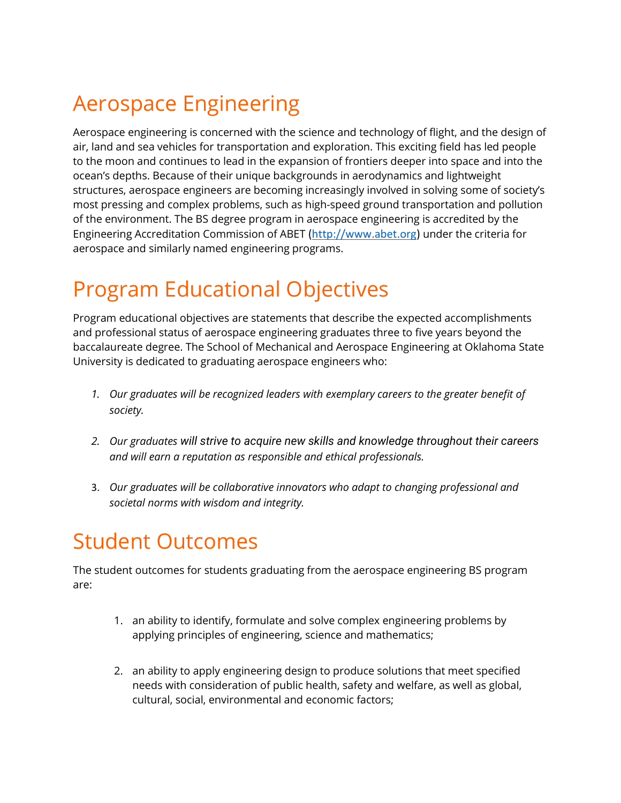## Aerospace Engineering

Aerospace engineering is concerned with the science and technology of flight, and the design of air, land and sea vehicles for transportation and exploration. This exciting field has led people to the moon and continues to lead in the expansion of frontiers deeper into space and into the ocean's depths. Because of their unique backgrounds in aerodynamics and lightweight structures, aerospace engineers are becoming increasingly involved in solving some of society's most pressing and complex problems, such as high-speed ground transportation and pollution of the environment. The BS degree program in aerospace engineering is accredited by the Engineering Accreditation Commission of ABET [\(http://www.abet.org\)](https://nam04.safelinks.protection.outlook.com/?url=http%3A%2F%2Fwww.abet.org%2F&data=04%7C01%7Cmaehead%40okstate.edu%7C33d4f5d366b44b598d6208d8c91ddb4c%7C2a69c91de8494e34a230cdf8b27e1964%7C0%7C0%7C637480477357545920%7CUnknown%7CTWFpbGZsb3d8eyJWIjoiMC4wLjAwMDAiLCJQIjoiV2luMzIiLCJBTiI6Ik1haWwiLCJXVCI6Mn0%3D%7C1000&sdata=Y617HsS6k%2BrMmeuZ16nSJlRhwisyKCn1NrlfPqbgOJM%3D&reserved=0) under the criteria for aerospace and similarly named engineering programs.

## Program Educational Objectives

Program educational objectives are statements that describe the expected accomplishments and professional status of aerospace engineering graduates three to five years beyond the baccalaureate degree. The School of Mechanical and Aerospace Engineering at Oklahoma State University is dedicated to graduating aerospace engineers who:

- *1. Our graduates will be recognized leaders with exemplary careers to the greater benefit of society.*
- *2. Our graduates will strive to acquire new skills and knowledge throughout their careers and will earn a reputation as responsible and ethical professionals.*
- 3. *Our graduates will be collaborative innovators who adapt to changing professional and societal norms with wisdom and integrity.*

## Student Outcomes

The student outcomes for students graduating from the aerospace engineering BS program are:

- 1. an ability to identify, formulate and solve complex engineering problems by applying principles of engineering, science and mathematics;
- 2. an ability to apply engineering design to produce solutions that meet specified needs with consideration of public health, safety and welfare, as well as global, cultural, social, environmental and economic factors;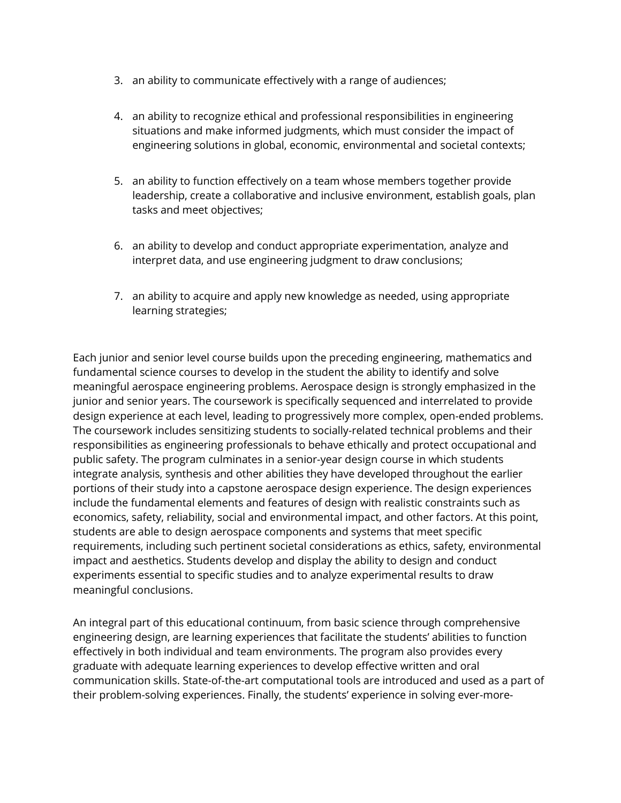- 3. an ability to communicate effectively with a range of audiences;
- 4. an ability to recognize ethical and professional responsibilities in engineering situations and make informed judgments, which must consider the impact of engineering solutions in global, economic, environmental and societal contexts;
- 5. an ability to function effectively on a team whose members together provide leadership, create a collaborative and inclusive environment, establish goals, plan tasks and meet objectives;
- 6. an ability to develop and conduct appropriate experimentation, analyze and interpret data, and use engineering judgment to draw conclusions;
- 7. an ability to acquire and apply new knowledge as needed, using appropriate learning strategies;

Each junior and senior level course builds upon the preceding engineering, mathematics and fundamental science courses to develop in the student the ability to identify and solve meaningful aerospace engineering problems. Aerospace design is strongly emphasized in the junior and senior years. The coursework is specifically sequenced and interrelated to provide design experience at each level, leading to progressively more complex, open-ended problems. The coursework includes sensitizing students to socially-related technical problems and their responsibilities as engineering professionals to behave ethically and protect occupational and public safety. The program culminates in a senior-year design course in which students integrate analysis, synthesis and other abilities they have developed throughout the earlier portions of their study into a capstone aerospace design experience. The design experiences include the fundamental elements and features of design with realistic constraints such as economics, safety, reliability, social and environmental impact, and other factors. At this point, students are able to design aerospace components and systems that meet specific requirements, including such pertinent societal considerations as ethics, safety, environmental impact and aesthetics. Students develop and display the ability to design and conduct experiments essential to specific studies and to analyze experimental results to draw meaningful conclusions.

An integral part of this educational continuum, from basic science through comprehensive engineering design, are learning experiences that facilitate the students' abilities to function effectively in both individual and team environments. The program also provides every graduate with adequate learning experiences to develop effective written and oral communication skills. State-of-the-art computational tools are introduced and used as a part of their problem-solving experiences. Finally, the students' experience in solving ever-more